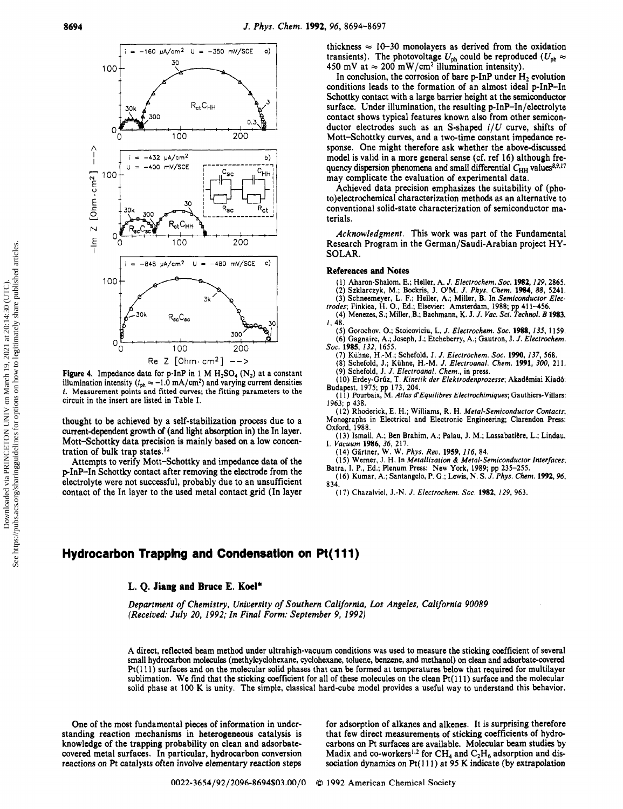

Figure 4. Impedance data for p-InP in 1 M  $H_2SO_4$  (N<sub>2</sub>) at a constant illumination intensity ( $i_{ph} \approx -1.0$  mA/cm<sup>2</sup>) and varying current densities i. Measurement points and fitted curves; the fitting parameters to the circuit in the insert are listed in Table I.

thought to be achieved by <sup>a</sup> self-stabilization process due to <sup>a</sup> current-dependent growth of (and light absorption in) the In layer. Mott-Schottky data precision is mainly based on <sup>a</sup> low concentration of bulk trap states.12

Attempts to verify Mott-Schottky and impedance data of the p-InP-In Schottky contact after removing the electrode from the electrolyte were not successful, probably due to an unsufficient contact of the In layer to the used metal contact grid (In layer thickness  $\approx 10-30$  monolayers as derived from the oxidation transients). The photovoltage  $U_{\text{ph}}$  could be reproduced  $(U_{\text{ph}} \approx$ 450 mV at  $\approx 200$  mW/cm<sup>2</sup> illumination intensity).

In conclusion, the corrosion of bare  $p$ -InP under  $H_2$  evolution conditions leads to the formation of an almost ideal p-InP-In Schottky contact with <sup>a</sup> large barrier height at the semiconductor surface. Under illumination, the resulting p-InP-In/electrolyte contact shows typical features known also from other semiconductor electrodes such as an S-shaped  $i/U$  curve, shifts of Mott-Schottky curves, and <sup>a</sup> two-time constant impedance response. One might therefore ask whether the above-discussed model is valid in <sup>a</sup> more general sense (cf. ref 16) although frequency dispersion phenomena and small differential  $C_{HH}$  values<sup>8,9,17</sup> may complicate the evaluation of experimental data.

Achieved data precision emphasizes the suitability of (photo)electrochemical characterization methods as an alternative to conventional solid-state characterization of semiconductor materials.

Acknowledgment. This work was part of the Fundamental Research Program in the German/Saudi-Arabian project HY-SOLAR.

#### References and Notes

(1) Aharon-Shalom, E.; Heller, A. J. Electrochem. Soc. 1982, 129, 2865.<br>(2) Szklarczyk, M.; Bockris, J. O'M. J. Phys. Chem. 1984, 88, 5241.<br>(3) Schneemeyer, L. F.; Heller, A.; Miller, B. In Semiconductor Electrodes; Finkl

(4) Menezes, S.; Miller, B.; Bachmann, K. J. J. Vac. Sci. Technol. B 1983,

1,48. (5) Gorochov, O.; Stoicoviciu, L. J. Electrochem. Soc. 1988,135, 1159. (6) Gagnaire, A.; Joseph, J.; Etcheberry, A.; Gautron, J. J. Electrochem.

Soc. 1985, 132, 1655.

(7) Kühne, H.-M.; Schefold, J. J. Electrochem. Soc. 1990, 137, 568.

(8) Schefold, J.; Kühne, H.-M. J. Electroanal. Chem. 1991, 300, 211. (9) Schefold, J. J. Electroanal. Chem., in press.

(10) Erdey-Grüz, T. Kinetik der Elektrodenprozesse; Akadémiai Kiadó:

Budapest, 1975; pp 173, 204.<br>(11) Pourbaix, M. *Atlas d'Equilibres Electrochimiques*; Gauthiers-Villars: 1963; p 438.

(12) Rhoderick, E. H.; Williams, R. H. Metal-Semiconductor Contacts; Monographs in Electrical and Electronic Engineering; Clarendon Press: Oxford, 1988.

(13) Ismail, A.; Ben Brahim, A.; Palau, J. M.; Lassabatiere, L.; Lindau,

I. Vacuum 1986, 36, 217. (14) Gártner, W. W. Phys. Rev. 1959, 116, 84.

(15) Werner, J. H. In Metallization & Metal-Semiconductor Interfaces;

Batra, I. P., Ed.; Plenum Press: New York, 1989; pp 235–255.<br>(16) Kumar, A.; Santangelo, P. G.; Lewis, N. S. J. Phys. Chem. 1992, 96. 834.

(17) Chazalviel, J.-N. J. Electrochem. Soc. 1982, 129, 963.

## Hydrocarbon Trapping and Condensation on Pt(111)

### L. Q. Jiang and Bruce E. Koel\*

Department of Chemistry, University of Southern California, Los Angeles, California 90089 (Received: July 20, 1992; In Final Form: September 9, 1992)

A direct, reflected beam method under ultrahigh-vacuum conditions was used to measure the sticking coefficient of several small hydrocarbon molecules (methylcyclohexane, cyclohexane, toluene, benzene, and methanol) on clean and adsorbate-covered Pt(lll) surfaces and on the molecular solid phases that can be formed at temperatures below that required for multilayer sublimation. We find that the sticking coefficient for all of these molecules on the clean  $Pt(111)$  surface and the molecular solid phase at <sup>100</sup> K is unity. The simple, classical hard-cube model provides <sup>a</sup> useful way to understand this behavior.

One of the most fundamental pieces of information in understanding reaction mechanisms in heterogeneous catalysis is knowledge of the trapping probability on clean and adsorbatecovered metal surfaces. In particular, hydrocarbon conversion reactions on Pt catalysts often involve elementary reaction steps

for adsorption of alkanes and alkenes. It is surprising therefore that few direct measurements of sticking coefficients of hydrocarbons on Pt surfaces are available. Molecular beam studies by Madix and co-workers<sup>1,2</sup> for CH<sub>4</sub> and C<sub>2</sub>H<sub>6</sub> adsorption and dissociation dynamics on Pt(111) at 95 K indicate (by extrapolation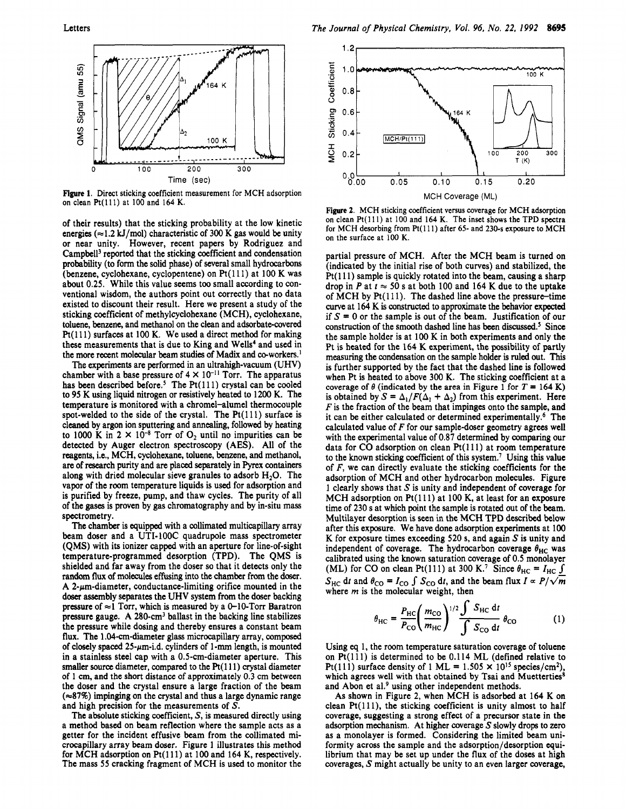

Figure 1. Direct sticking coefficient measurement for MCH adsorption on clean Pt(lll) at <sup>100</sup> and <sup>164</sup> K.

of their results) that the sticking probability at the low kinetic energies ( $\approx$ 1.2 kJ/mol) characteristic of 300 K gas would be unity or near unity. However, recent papers by Rodriguez and Campbell3 reported that the sticking coefficient and condensation probability (to form the solid phase) of several small hydrocarbons (benzene, cyclohexane, cyclopentene) on Pt(lll) at <sup>100</sup> K was about 0.25. While this value seems too small according to conventional wisdom, the authors point out correctly that no data existed to discount their result. Here we present <sup>a</sup> study of the sticking coefficient of methylcyclohexane (MCH), cyclohexane, toluene, benzene, and methanol on the clean and adsorbate-covered Pt(lll) surfaces at <sup>100</sup> K. We used <sup>a</sup> direct method for making these measurements that is due to King and Wells<sup>4</sup> and used in the more recent molecular beam studies of Madix and co-workers.<sup>1</sup>

The experiments are performed in an ultrahigh-vacuum (UHV) chamber with a base pressure of  $4 \times 10^{-11}$  Torr. The apparatus has been described before.<sup>5</sup> The Pt $(111)$  crystal can be cooled to <sup>95</sup> K using liquid nitrogen or resistively heated to <sup>1200</sup> K. The temperature is monitored with <sup>a</sup> chromel-alumel thermocouple spot-welded to the side of the crystal. The  $Pt(111)$  surface is cleaned by argon ion sputtering and annealing, followed by heating to 1000 K in  $2 \times 10^{-8}$  Torr of O<sub>2</sub> until no impurities can be detected by Auger electron spectroscopy (AES). All of the reagents, i.e., MCH, cyclohexane, toluene, benzene, and methanol, are of research purity and are placed separately in Pyrex containers along with dried molecular sieve granules to adsorb  $H_2O$ . The vapor of the room temperature liquids is used for adsorption and is purified by freeze, pump, and thaw cycles. The purity of all of the gases is proven by gas chromatography and by in-situ mass spectrometry.

The chamber is equipped with <sup>a</sup> collimated multicapillary array beam doser and <sup>a</sup> UTI-100C quadrupole mass spectrometer (QMS) with its ionizer capped with an aperture for line-of-sight temperature-programmed desorption (TPD). The QMS is shielded and far away from the doser so that it detects only the random flux of molecules effusing into the chamber from the doser. A 2- $\mu$ m-diameter, conductance-limiting orifice mounted in the doser assembly separates the UHV system from the doser backing pressure of  $\approx$ 1 Torr, which is measured by a 0-10-Torr Baratron pressure gauge. A 280-cm3 ballast in the backing line stabilizes the pressure while dosing and thereby ensures <sup>a</sup> constant beam flux. The 1.04-cm-diameter glass microcapillary array, composed of closely spaced  $25-\mu m$ -i.d. cylinders of 1-mm length, is mounted in <sup>a</sup> stainless steel cap with <sup>a</sup> 0.5-cm-diameter aperture. This smaller source diameter, compared to the  $Pt(111)$  crystal diameter of <sup>1</sup> cm, and the short distance of approximately 0.3 cm between the doser and the crystal ensure <sup>a</sup> large fraction of the beam  $(\approx 87\%)$  impinging on the crystal and thus a large dynamic range and high precision for the measurements of S.

The absolute sticking coefficient, S, is measured directly using <sup>a</sup> method based on beam reflection where the sample acts as <sup>a</sup> getter for the incident effusive beam from the collimated microcapillary array beam doser. Figure <sup>1</sup> illustrates this method for MCH adsorption on Pt(111) at 100 and 164 K, respectively. The mass <sup>55</sup> cracking fragment of MCH is used to monitor the



Figure 2. MCH sticking coefficient versus coverage for MCH adsorption on clean Pt( 111) at <sup>100</sup> and <sup>164</sup> K. The inset shows the TPD spectra for MCH desorbing from Pt(111) after 65- and 230-s exposure to MCH on the surface at 100 K.

partial pressure of MCH. After the MCH beam is turned on (indicated by the initial rise of both curves) and stabilized, the Pt(lll) sample is quickly rotated into the beam, causing <sup>a</sup> sharp drop in P at  $t \approx 50$  s at both 100 and 164 K due to the uptake of  $MCH$  by  $Pt(111)$ . The dashed line above the pressure-time curve at <sup>164</sup> K is constructed to approximate the behavior expected if  $S = 0$  or the sample is out of the beam. Justification of our construction of the smooth dashed line has been discussed.<sup>5</sup> Since the sample holder is at <sup>100</sup> K in both experiments and only the Pt is heated for the <sup>164</sup> K experiment, the possibility of partly measuring the condensation on the sample holder is ruled out. This is further supported by the fact that the dashed line is followed when Pt is heated to above 300 K. The sticking coefficient at <sup>a</sup> coverage of  $\theta$  (indicated by the area in Figure 1 for  $T = 164$  K) is obtained by  $S = \Delta_1/F(\Delta_1 + \Delta_2)$  from this experiment. Here  $F$  is the fraction of the beam that impinges onto the sample, and it can be either calculated or determined experimentally.6 The calculated value of  $F$  for our sample-doser geometry agrees well with the experimental value of 0.87 determined by comparing our data for CO adsorption on clean Pt(lll) at room temperature to the known sticking coefficient of this system.7 Using this value of  $F$ , we can directly evaluate the sticking coefficients for the adsorption of MCH and other hydrocarbon molecules. Figure 1 clearly shows that S is unity and independent of coverage for MCH adsorption on Pt(111) at 100 K, at least for an exposure time of <sup>230</sup> <sup>s</sup> at which point the sample is rotated out of the beam. Multilayer desorption is seen in the MCH TPD described below after this exposure. We have done adsorption experiments at <sup>100</sup> K for exposure times exceeding 520 s, and again  $S$  is unity and independent of coverage. The hydrocarbon coverage  $\theta_{\text{HC}}$  was calibrated using the known saturation coverage of 0.5 monolayer (ML) for CO on clean Pt(111) at 300 K.<sup>7</sup> Since  $\theta_{\text{HC}} = I_{\text{HC}} \underline{\mathsf{J}}$  $S_{\text{HC}}$  dt and  $\theta_{\text{CO}} = I_{\text{CO}}$   $\int S_{\text{CO}}$  dt, and the beam flux  $I \propto P/\sqrt{m}$ where  $m$  is the molecular weight, then

$$
\theta_{\rm HC} = \frac{P_{\rm HC}}{P_{\rm CO}} \left(\frac{m_{\rm CO}}{m_{\rm HC}}\right)^{1/2} \frac{\int S_{\rm HC} dt}{\int S_{\rm CO} dt} \theta_{\rm CO} \tag{1}
$$

Using eq 1, the room temperature saturation coverage of toluene on Pt(lll) is determined to be 0.114 ML (defined relative to Pt(111) surface density of 1 ML =  $1.505 \times 10^{15}$  species/cm<sup>2</sup>), which agrees well with that obtained by Tsai and Muetterties<sup>8</sup> and Abon et al.<sup>9</sup> using other independent methods.

As shown in Figure 2, when MCH is adsorbed at <sup>164</sup> K on clean  $Pt(111)$ , the sticking coefficient is unity almost to half coverage, suggesting <sup>a</sup> strong effect of <sup>a</sup> precursor state in the adsorption mechanism. At higher coverage  $S$  slowly drops to zero as <sup>a</sup> monolayer is formed. Considering the limited beam uniformity across the sample and the adsorption/desorption equilibrium that may be set up under the flux of the doses at high coverages, S might actually be unity to an even larger coverage,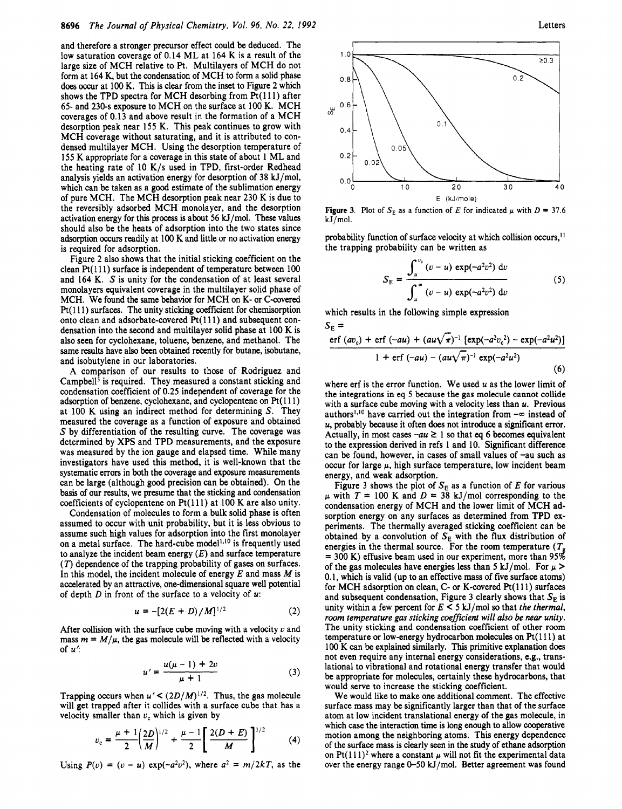and therefore <sup>a</sup> stronger precursor effect could be deduced. The low saturation coverage of 0.14 ML at <sup>164</sup> K is <sup>a</sup> result of the large size of MCH relative to Pt. Multilayers of MCH do not form at <sup>164</sup> K, but the condensation of MCH to form <sup>a</sup> solid phase does occur at 100 K. This is clear from the inset to Figure 2 which shows the TPD spectra for MCH desorbing from  $Pt(111)$  after 65- and 230-s exposure to MCH on the surface at <sup>100</sup> K. MCH coverages of 0.13 and above result in the formation of <sup>a</sup> MCH desorption peak near <sup>155</sup> K. This peak continues to grow with MCH coverage without saturating, and it is attributed to condensed multilayer MCH. Using the desorption temperature of <sup>155</sup> K appropriate for <sup>a</sup> coverage in this state of about <sup>1</sup> ML and the heating rate of <sup>10</sup> K/s used in TPD, first-order Redhead analysis yields an activation energy for desorption of <sup>38</sup> kJ/mol, which can be taken as <sup>a</sup> good estimate of the sublimation energy of pure MCH. The MCH desorption peak near <sup>230</sup> K is due to the reversibly adsorbed MCH monolayer, and the desorption activation energy for this process is about <sup>56</sup> kJ/mol. These values should also be the heats of adsorption into the two states since adsorption occurs readily at <sup>100</sup> K and little or no activation energy is required for adsorption.

Figure <sup>2</sup> also shows that the initial sticking coefficient on the clean Pt(l 11) surface is independent of temperature between <sup>100</sup> and <sup>164</sup> K. S is unity for the condensation of at least several monolayers equivalent coverage in the multilayer solid phase of MCH. We found the same behavior for MCH on K- or C-covered Pt(111) surfaces. The unity sticking coefficient for chemisorption onto clean and adsorbate-covered  $Pt(111)$  and subsequent condensation into the second and multilayer solid phase at <sup>100</sup> K is also seen for cyclohexane, toluene, benzene, and methanol. The same results have also been obtained recently for butane, isobutane, and isobutylene in our laboratories.

A comparison of our results to those of Rodriguez and Campbell<sup>3</sup> is required. They measured a constant sticking and condensation coefficient of 0.25 independent of coverage for the adsorption of benzene, cyclohexane, and cyclopentene on Pt(111) at <sup>100</sup> K using an indirect method for determining S. They measured the coverage as <sup>a</sup> function of exposure and obtained 5 by differentiation of the resulting curve. The coverage was determined by XPS and TPD measurements, and the exposure was measured by the ion gauge and elapsed time. While many investigators have used this method, it is well-known that the systematic errors in both the coverage and exposure measurements can be large (although good precision can be obtained). On the basis of our results, we presume that the sticking and condensation coefficients of cyclopentene on Pt(lll) at <sup>100</sup> K are also unity.

Condensation of molecules to form <sup>a</sup> bulk solid phase is often assumed to occur with unit probability, but it is less obvious to assume such high values for adsorption into the first monolayer on a metal surface. The hard-cube model<sup>1,10</sup> is frequently used to analyze the incident beam energy  $(E)$  and surface temperature  $(T)$  dependence of the trapping probability of gases on surfaces. In this model, the incident molecule of energy  $E$  and mass  $M$  is accelerated by an attractive, one-dimensional square well potential of depth  $D$  in front of the surface to a velocity of  $u$ .

$$
u = -[2(E+D)/M]^{1/2}
$$
 (2)

After collision with the surface cube moving with a velocity  $v$  and mass  $m = M/\mu$ , the gas molecule will be reflected with a velocity of  $u'$ :

$$
u' = \frac{u(\mu - 1) + 2v}{\mu + 1} \tag{3}
$$

Trapping occurs when  $u' < (2D/M)^{1/2}$ . Thus, the gas molecule will get trapped after it collides with <sup>a</sup> surface cube that has <sup>a</sup> velocity smaller than  $v_c$  which is given by

$$
v_{\rm c} = \frac{\mu + 1}{2} \left( \frac{2D}{M} \right)^{1/2} + \frac{\mu - 1}{2} \left[ \frac{2(D + E)}{M} \right]^{1/2} \tag{4}
$$

Using  $P(v) = (v - u) \exp(-a^2v^2)$ , where  $a^2 = m/2kT$ , as the



Figure 3. Plot of  $S_E$  as a function of E for indicated  $\mu$  with  $D = 37.6$ kJ/mol.

probability function of surface velocity at which collision occurs,<sup>11</sup> the trapping probability can be written as

$$
S_{\rm E} = \frac{\int_{u}^{v_{\rm c}} (v - u) \exp(-a^2 v^2) \, \mathrm{d}v}{\int_{u}^{\infty} (v - u) \exp(-a^2 v^2) \, \mathrm{d}v}
$$
(5)

which results in the following simple expression  $S_{\rm E}$  =

$$
\frac{\text{erf}(av_{c}) + \text{erf}(-au) + (au\sqrt{\pi})^{-1} [\exp(-a^{2}v_{c}^{2}) - \exp(-a^{2}u^{2})]}{1 + \text{erf}(-au) - (au\sqrt{\pi})^{-1} \exp(-a^{2}u^{2})}
$$
\n(6)

where erf is the error function. We used  $u$  as the lower limit of the integrations in eq <sup>5</sup> because the gas molecule cannot collide with a surface cube moving with a velocity less than  $u$ . Previous authors<sup>1,10</sup> have carried out the integration from  $-\infty$  instead of u, probably because it often does not introduce <sup>a</sup> significant error. Actually, in most cases  $-au \ge 1$  so that eq 6 becomes equivalent to the expression derived in refs <sup>1</sup> and 10. Significant difference can be found, however, in cases of small values of -au such as occur for large  $\mu$ , high surface temperature, low incident beam energy, and weak adsorption.

Figure 3 shows the plot of  $S_E$  as a function of E for various  $\mu$  with  $T = 100$  K and  $D = 38$  kJ/mol corresponding to the condensation energy of MCH and the lower limit of MCH adsorption energy on any surfaces as determined from TPD experiments. The thermally averaged sticking coefficient can be obtained by a convolution of  $S_E$  with the flux distribution of energies in the thermal source. For the room temperature ( $T_g$ energies in the thermal source. For the room temperature ( $T<sub>g</sub>$  = 300 K) effusive beam used in our experiment, more than 95% of the gas molecules have energies less than 5 kJ/mol. For  $\mu$  > 0.1, which is valid (up to an effective mass of five surface atoms) for MCH adsorption on clean, C- or K-covered Pt(lll) surfaces and subsequent condensation, Figure 3 clearly shows that  $S_E$  is unity within a few percent for  $E \leq 5$  kJ/mol so that the thermal, room temperature gas sticking coefficient will also be near unity. The unity sticking and condensation coefficient of other room temperature or low-energy hydrocarbon molecules on Pt(111) at <sup>100</sup> K can be explained similarly. This primitive explanation does not even require any internal energy considerations, e.g., translational to vibrational and rotational energy transfer that would be appropriate for molecules, certainly these hydrocarbons, that would serve to increase the sticking coefficient.

We would like to make one additional comment. The effective surface mass may be significantly larger than that of the surface atom at low incident translational energy of the gas molecule, in which case the interaction time is long enough to allow cooperative motion among the neighboring atoms. This energy dependence of the surface mass is clearly seen in the study of ethane adsorption on Pt(111)<sup>2</sup> where a constant  $\mu$  will not fit the experimental data over the energy range  $0$ -50 kJ/mol. Better agreement was found